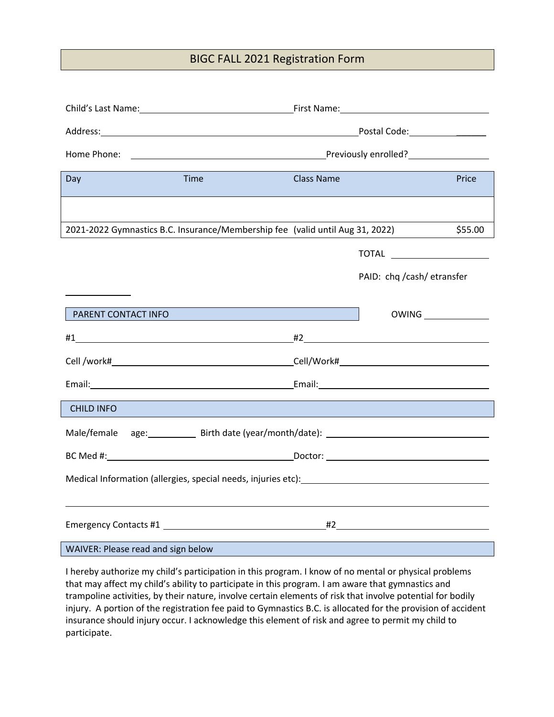## BIGC FALL 2021 Registration Form

| Day                                                                                                                                                                                                                            | Time | <b>Class Name</b> |                            | Price   |  |  |
|--------------------------------------------------------------------------------------------------------------------------------------------------------------------------------------------------------------------------------|------|-------------------|----------------------------|---------|--|--|
|                                                                                                                                                                                                                                |      |                   |                            |         |  |  |
| 2021-2022 Gymnastics B.C. Insurance/Membership fee (valid until Aug 31, 2022)                                                                                                                                                  |      |                   |                            | \$55.00 |  |  |
|                                                                                                                                                                                                                                |      |                   |                            |         |  |  |
|                                                                                                                                                                                                                                |      |                   | PAID: chq /cash/ etransfer |         |  |  |
| PARENT CONTACT INFO                                                                                                                                                                                                            |      |                   |                            |         |  |  |
|                                                                                                                                                                                                                                |      |                   |                            |         |  |  |
|                                                                                                                                                                                                                                |      |                   |                            |         |  |  |
| Email: 2008. [2013] [2014] [2014] [2014] [2014] [2014] [2014] [2014] [2014] [2014] [2014] [2014] [2014] [2014] [2014] [2014] [2014] [2014] [2014] [2014] [2014] [2014] [2014] [2014] [2014] [2014] [2014] [2014] [2014] [2014] |      |                   |                            |         |  |  |
| <b>CHILD INFO</b>                                                                                                                                                                                                              |      |                   |                            |         |  |  |
| Male/female age: Birth date (year/month/date): _________________________________                                                                                                                                               |      |                   |                            |         |  |  |
|                                                                                                                                                                                                                                |      |                   |                            |         |  |  |
| Medical Information (allergies, special needs, injuries etc): Network and the matter of the matter of the matter                                                                                                               |      |                   |                            |         |  |  |
|                                                                                                                                                                                                                                |      |                   |                            |         |  |  |
|                                                                                                                                                                                                                                |      |                   |                            |         |  |  |
| WAIVER: Please read and sign below                                                                                                                                                                                             |      |                   |                            |         |  |  |

I hereby authorize my child's participation in this program. I know of no mental or physical problems that may affect my child's ability to participate in this program. I am aware that gymnastics and trampoline activities, by their nature, involve certain elements of risk that involve potential for bodily injury. A portion of the registration fee paid to Gymnastics B.C. is allocated for the provision of accident insurance should injury occur. I acknowledge this element of risk and agree to permit my child to participate.